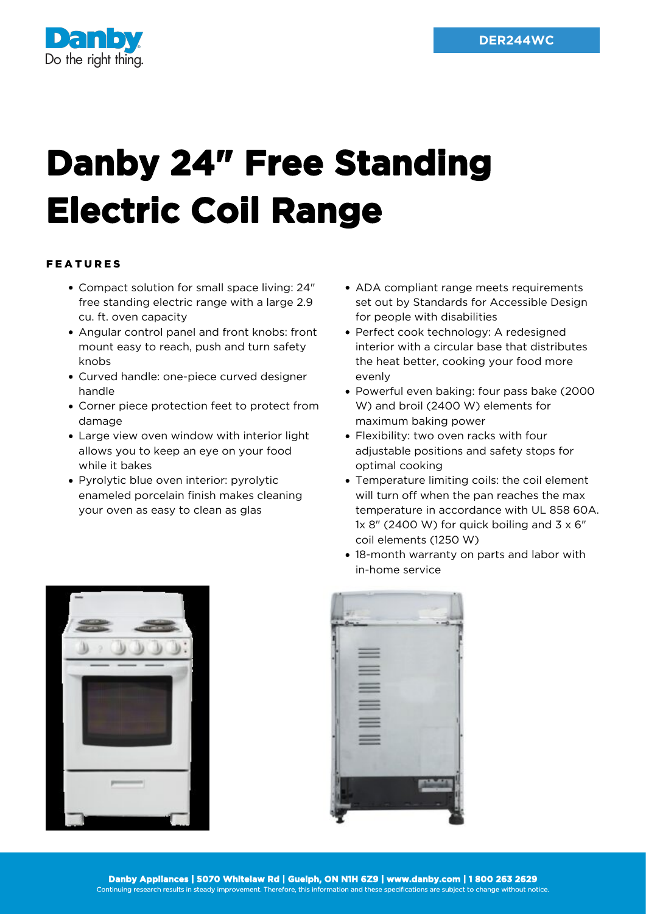

## **Danby 24" Free Standing Electric Coil Range**

## FEATURES

- Compact solution for small space living: 24" free standing electric range with a large 2.9 cu. ft. oven capacity
- Angular control panel and front knobs: front mount easy to reach, push and turn safety knobs
- Curved handle: one-piece curved designer handle
- Corner piece protection feet to protect from damage
- Large view oven window with interior light allows you to keep an eye on your food while it bakes
- Pyrolytic blue oven interior: pyrolytic enameled porcelain finish makes cleaning your oven as easy to clean as glas
- ADA compliant range meets requirements set out by Standards for Accessible Design for people with disabilities
- Perfect cook technology: A redesigned interior with a circular base that distributes the heat better, cooking your food more evenly
- Powerful even baking: four pass bake (2000 W) and broil (2400 W) elements for maximum baking power
- Flexibility: two oven racks with four adjustable positions and safety stops for optimal cooking
- Temperature limiting coils: the coil element will turn off when the pan reaches the max temperature in accordance with UL 858 60A. 1x 8" (2400 W) for quick boiling and  $3 \times 6$ " coil elements (1250 W)
- 18-month warranty on parts and labor with in-home service